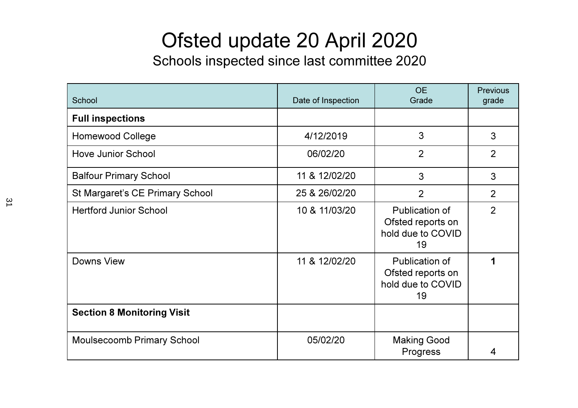## Ofsted update 20 April 2020

Schools inspected since last committee 2020

| School                            | Date of Inspection | <b>OE</b><br>Grade                                             | <b>Previous</b><br>grade |
|-----------------------------------|--------------------|----------------------------------------------------------------|--------------------------|
| <b>Full inspections</b>           |                    |                                                                |                          |
| <b>Homewood College</b>           | 4/12/2019          | 3                                                              | 3                        |
| <b>Hove Junior School</b>         | 06/02/20           | $\overline{2}$                                                 | $\overline{2}$           |
| <b>Balfour Primary School</b>     | 11 & 12/02/20      | 3                                                              | 3                        |
| St Margaret's CE Primary School   | 25 & 26/02/20      | $\overline{2}$                                                 | 2                        |
| <b>Hertford Junior School</b>     | 10 & 11/03/20      | Publication of<br>Ofsted reports on<br>hold due to COVID<br>19 | $\overline{2}$           |
| Downs View                        | 11 & 12/02/20      | Publication of<br>Ofsted reports on<br>hold due to COVID<br>19 |                          |
| <b>Section 8 Monitoring Visit</b> |                    |                                                                |                          |
| <b>Moulsecoomb Primary School</b> | 05/02/20           | <b>Making Good</b><br>Progress                                 | 4                        |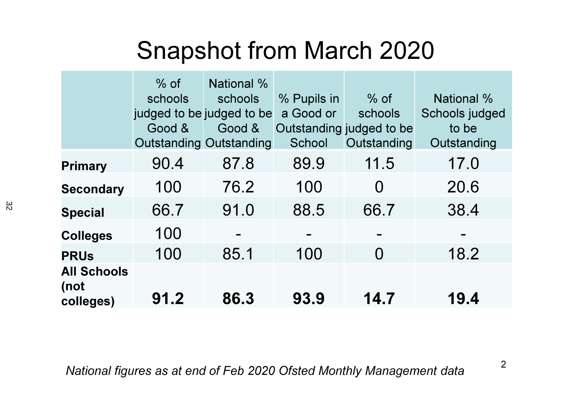## Snapshot from March 2020

|                                         | $%$ of<br>schools<br>judged to be judged to be<br>Good &<br><b>Outstanding Outstanding</b> | National %<br>schools<br>Good & | % Pupils in<br>a Good or<br>School | $%$ of<br>schools<br>Outstanding judged to be<br>Outstanding | <b>National %</b><br>Schools judged<br>to be<br>Outstanding |
|-----------------------------------------|--------------------------------------------------------------------------------------------|---------------------------------|------------------------------------|--------------------------------------------------------------|-------------------------------------------------------------|
| <b>Primary</b>                          | 90.4                                                                                       | 87.8                            | 89.9                               | 11.5                                                         | 17.0                                                        |
| <b>Secondary</b>                        | 100                                                                                        | 76.2                            | 100                                | $\Omega$                                                     | 20.6                                                        |
| <b>Special</b>                          | 66.7                                                                                       | 91.0                            | 88.5                               | 66.7                                                         | 38.4                                                        |
| <b>Colleges</b>                         | 100                                                                                        |                                 |                                    |                                                              |                                                             |
| <b>PRUs</b>                             | 100                                                                                        | 85.1                            | 100                                | $\Omega$                                                     | 18.2                                                        |
| <b>All Schools</b><br>(not<br>colleges) | 91.2                                                                                       | 86.3                            | 93.9                               | 14.7                                                         | 19.4                                                        |

National figures as at end of Feb 2020 Ofsted Monthly Management data

2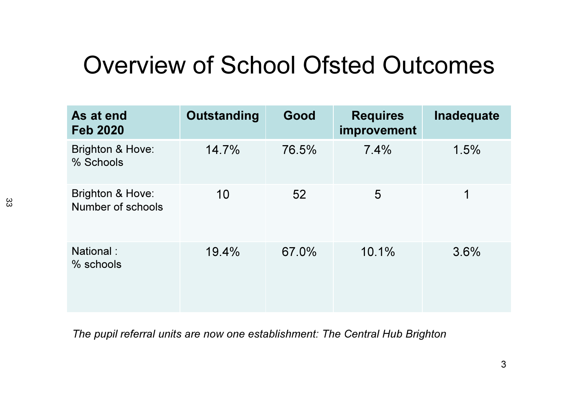## Overview of School Ofsted Outcomes

| As at end<br><b>Feb 2020</b>          | Outstanding | Good  | <b>Requires</b><br>improvement | Inadequate |
|---------------------------------------|-------------|-------|--------------------------------|------------|
| Brighton & Hove:<br>% Schools         | 14.7%       | 76.5% | 7.4%                           | 1.5%       |
| Brighton & Hove:<br>Number of schools | 10          | 52    | 5                              | 1          |
| National:<br>% schools                | 19.4%       | 67.0% | 10.1%                          | 3.6%       |

The pupil referral units are now one establishment: The Central Hub Brighton